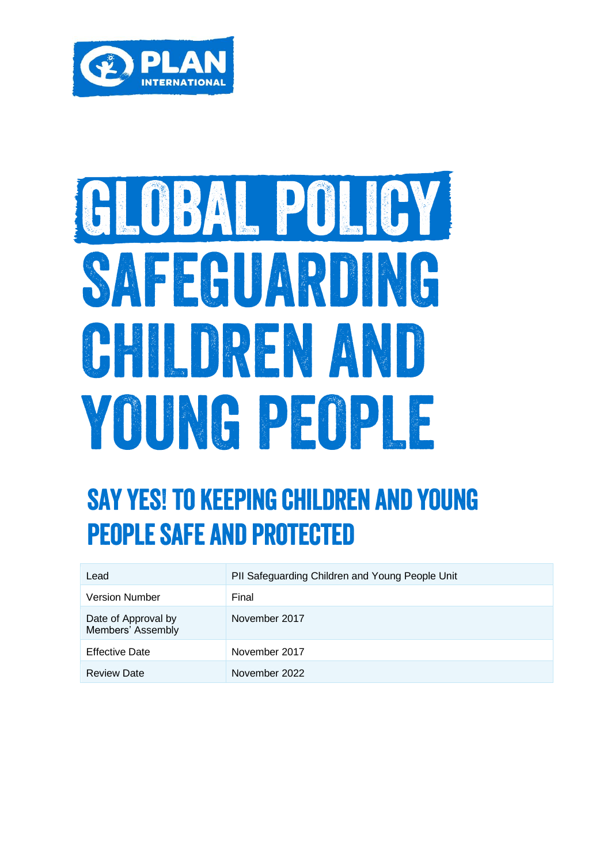

# GLOBAL POLICY SAFEGUARDING CHILDREN AND YOUNG PEOPLE

### **SAY YES! TO KEEPING CHILDREN AND YOUNG PEOPLE SAFE AND PROTECTED**

| Lead                                     | PII Safeguarding Children and Young People Unit |
|------------------------------------------|-------------------------------------------------|
| <b>Version Number</b>                    | Final                                           |
| Date of Approval by<br>Members' Assembly | November 2017                                   |
| <b>Effective Date</b>                    | November 2017                                   |
| <b>Review Date</b>                       | November 2022                                   |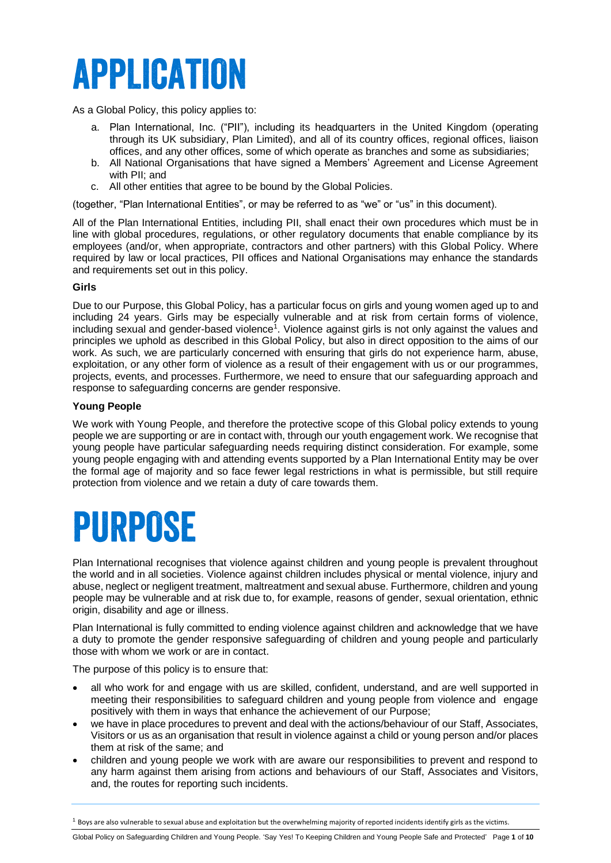## **APPLICATION**

As a Global Policy, this policy applies to:

- a. Plan International, Inc. ("PII"), including its headquarters in the United Kingdom (operating through its UK subsidiary, Plan Limited), and all of its country offices, regional offices, liaison offices, and any other offices, some of which operate as branches and some as subsidiaries;
- b. All National Organisations that have signed a Members' Agreement and License Agreement with PII; and
- c. All other entities that agree to be bound by the Global Policies.

(together, "Plan International Entities", or may be referred to as "we" or "us" in this document).

All of the Plan International Entities, including PII, shall enact their own procedures which must be in line with global procedures, regulations, or other regulatory documents that enable compliance by its employees (and/or, when appropriate, contractors and other partners) with this Global Policy. Where required by law or local practices, PII offices and National Organisations may enhance the standards and requirements set out in this policy.

#### **Girls**

Due to our Purpose, this Global Policy, has a particular focus on girls and young women aged up to and including 24 years. Girls may be especially vulnerable and at risk from certain forms of violence, including sexual and gender-based violence<sup>1</sup>. Violence against girls is not only against the values and principles we uphold as described in this Global Policy, but also in direct opposition to the aims of our work. As such, we are particularly concerned with ensuring that girls do not experience harm, abuse, exploitation, or any other form of violence as a result of their engagement with us or our programmes, projects, events, and processes. Furthermore, we need to ensure that our safeguarding approach and response to safeguarding concerns are gender responsive.

#### **Young People**

We work with Young People, and therefore the protective scope of this Global policy extends to young people we are supporting or are in contact with, through our youth engagement work. We recognise that young people have particular safeguarding needs requiring distinct consideration. For example, some young people engaging with and attending events supported by a Plan International Entity may be over the formal age of majority and so face fewer legal restrictions in what is permissible, but still require protection from violence and we retain a duty of care towards them.

### PURPOSE

Plan International recognises that violence against children and young people is prevalent throughout the world and in all societies. Violence against children includes physical or mental violence, injury and abuse, neglect or negligent treatment, maltreatment and sexual abuse. Furthermore, children and young people may be vulnerable and at risk due to, for example, reasons of gender, sexual orientation, ethnic origin, disability and age or illness.

Plan International is fully committed to ending violence against children and acknowledge that we have a duty to promote the gender responsive safeguarding of children and young people and particularly those with whom we work or are in contact.

The purpose of this policy is to ensure that:

- all who work for and engage with us are skilled, confident, understand, and are well supported in meeting their responsibilities to safeguard children and young people from violence and engage positively with them in ways that enhance the achievement of our Purpose;
- we have in place procedures to prevent and deal with the actions/behaviour of our Staff, Associates, Visitors or us as an organisation that result in violence against a child or young person and/or places them at risk of the same; and
- children and young people we work with are aware our responsibilities to prevent and respond to any harm against them arising from actions and behaviours of our Staff, Associates and Visitors, and, the routes for reporting such incidents.

 $^1$  Boys are also vulnerable to sexual abuse and exploitation but the overwhelming majority of reported incidents identify girls as the victims.

Global Policy on Safeguarding Children and Young People. 'Say Yes! To Keeping Children and Young People Safe and Protected' Page **1** of **10**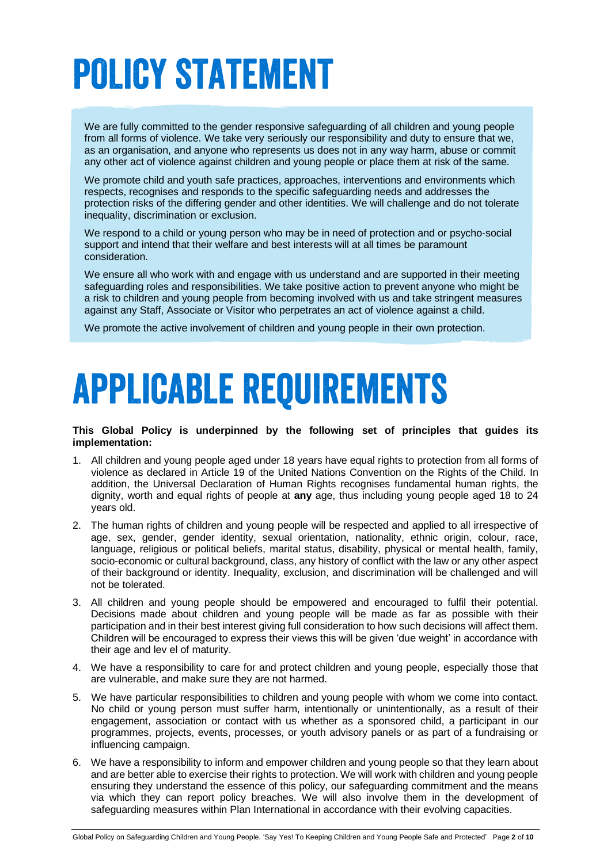# **POLICY STATEMENT**

We are fully committed to the gender responsive safeguarding of all children and young people from all forms of violence. We take very seriously our responsibility and duty to ensure that we, as an organisation, and anyone who represents us does not in any way harm, abuse or commit any other act of violence against children and young people or place them at risk of the same.

We promote child and youth safe practices, approaches, interventions and environments which respects, recognises and responds to the specific safeguarding needs and addresses the protection risks of the differing gender and other identities. We will challenge and do not tolerate inequality, discrimination or exclusion.

We respond to a child or young person who may be in need of protection and or psycho-social support and intend that their welfare and best interests will at all times be paramount consideration.

We ensure all who work with and engage with us understand and are supported in their meeting safeguarding roles and responsibilities. We take positive action to prevent anyone who might be a risk to children and young people from becoming involved with us and take stringent measures against any Staff, Associate or Visitor who perpetrates an act of violence against a child.

We promote the active involvement of children and young people in their own protection.

## **APPLICABLE REQUIREMENTS**

**This Global Policy is underpinned by the following set of principles that guides its implementation:** 

- 1. All children and young people aged under 18 years have equal rights to protection from all forms of violence as declared in Article 19 of the United Nations Convention on the Rights of the Child. In addition, the Universal Declaration of Human Rights recognises fundamental human rights, the dignity, worth and equal rights of people at **any** age, thus including young people aged 18 to 24 years old.
- 2. The human rights of children and young people will be respected and applied to all irrespective of age, sex, gender, gender identity, sexual orientation, nationality, ethnic origin, colour, race, language, religious or political beliefs, marital status, disability, physical or mental health, family, socio-economic or cultural background, class, any history of conflict with the law or any other aspect of their background or identity. Inequality, exclusion, and discrimination will be challenged and will not be tolerated.
- 3. All children and young people should be empowered and encouraged to fulfil their potential. Decisions made about children and young people will be made as far as possible with their participation and in their best interest giving full consideration to how such decisions will affect them. Children will be encouraged to express their views this will be given 'due weight' in accordance with their age and lev el of maturity.
- 4. We have a responsibility to care for and protect children and young people, especially those that are vulnerable, and make sure they are not harmed.
- 5. We have particular responsibilities to children and young people with whom we come into contact. No child or young person must suffer harm, intentionally or unintentionally, as a result of their engagement, association or contact with us whether as a sponsored child, a participant in our programmes, projects, events, processes, or youth advisory panels or as part of a fundraising or influencing campaign.
- 6. We have a responsibility to inform and empower children and young people so that they learn about and are better able to exercise their rights to protection. We will work with children and young people ensuring they understand the essence of this policy, our safeguarding commitment and the means via which they can report policy breaches. We will also involve them in the development of safeguarding measures within Plan International in accordance with their evolving capacities.

Global Policy on Safeguarding Children and Young People. 'Say Yes! To Keeping Children and Young People Safe and Protected' Page **2** of **10**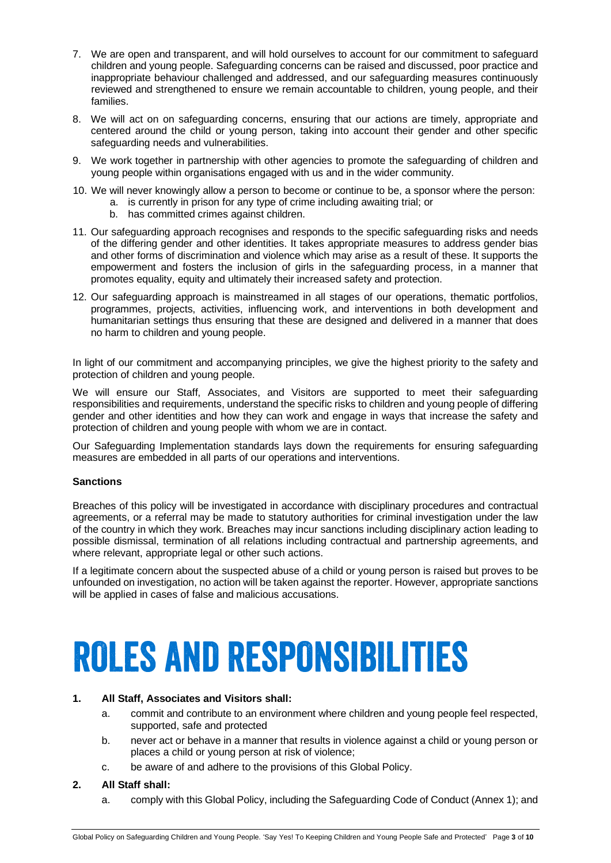- 7. We are open and transparent, and will hold ourselves to account for our commitment to safeguard children and young people. Safeguarding concerns can be raised and discussed, poor practice and inappropriate behaviour challenged and addressed, and our safeguarding measures continuously reviewed and strengthened to ensure we remain accountable to children, young people, and their families.
- 8. We will act on on safeguarding concerns, ensuring that our actions are timely, appropriate and centered around the child or young person, taking into account their gender and other specific safeguarding needs and vulnerabilities.
- 9. We work together in partnership with other agencies to promote the safeguarding of children and young people within organisations engaged with us and in the wider community.
- 10. We will never knowingly allow a person to become or continue to be, a sponsor where the person:
	- a. is currently in prison for any type of crime including awaiting trial; or
	- b. has committed crimes against children.
- 11. Our safeguarding approach recognises and responds to the specific safeguarding risks and needs of the differing gender and other identities. It takes appropriate measures to address gender bias and other forms of discrimination and violence which may arise as a result of these. It supports the empowerment and fosters the inclusion of girls in the safeguarding process, in a manner that promotes equality, equity and ultimately their increased safety and protection.
- 12. Our safeguarding approach is mainstreamed in all stages of our operations, thematic portfolios, programmes, projects, activities, influencing work, and interventions in both development and humanitarian settings thus ensuring that these are designed and delivered in a manner that does no harm to children and young people.

In light of our commitment and accompanying principles, we give the highest priority to the safety and protection of children and young people.

We will ensure our Staff, Associates, and Visitors are supported to meet their safeguarding responsibilities and requirements, understand the specific risks to children and young people of differing gender and other identities and how they can work and engage in ways that increase the safety and protection of children and young people with whom we are in contact.

Our Safeguarding Implementation standards lays down the requirements for ensuring safeguarding measures are embedded in all parts of our operations and interventions.

#### **Sanctions**

Breaches of this policy will be investigated in accordance with disciplinary procedures and contractual agreements, or a referral may be made to statutory authorities for criminal investigation under the law of the country in which they work. Breaches may incur sanctions including disciplinary action leading to possible dismissal, termination of all relations including contractual and partnership agreements, and where relevant, appropriate legal or other such actions.

If a legitimate concern about the suspected abuse of a child or young person is raised but proves to be unfounded on investigation, no action will be taken against the reporter. However, appropriate sanctions will be applied in cases of false and malicious accusations.

# **ROLES AND RESPONSIBILITIES**

#### **1. All Staff, Associates and Visitors shall:**

- a. commit and contribute to an environment where children and young people feel respected, supported, safe and protected
- b. never act or behave in a manner that results in violence against a child or young person or places a child or young person at risk of violence;
- c. be aware of and adhere to the provisions of this Global Policy.

#### **2. All Staff shall:**

a. comply with this Global Policy, including the Safeguarding Code of Conduct (Annex 1); and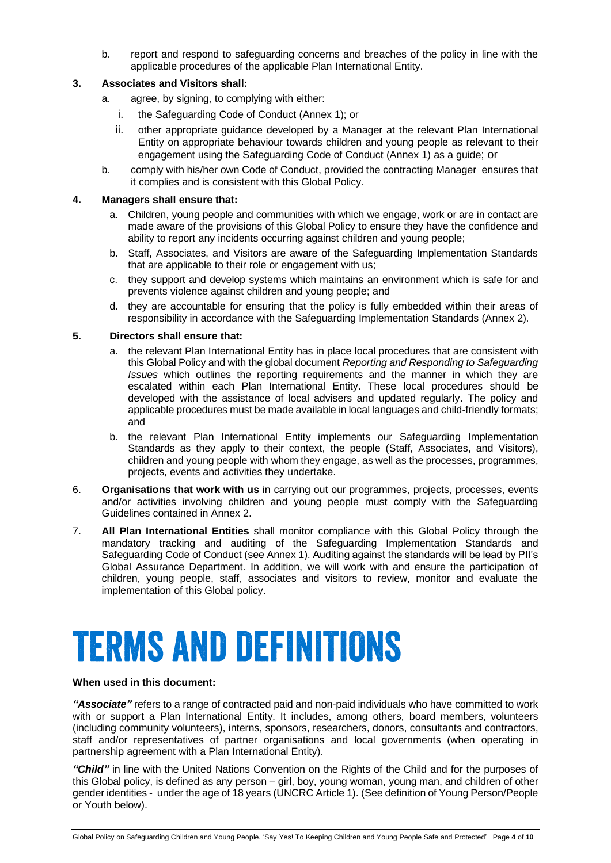b. report and respond to safeguarding concerns and breaches of the policy in line with the applicable procedures of the applicable Plan International Entity.

#### **3. Associates and Visitors shall:**

- a. agree, by signing, to complying with either:
	- i. the Safeguarding Code of Conduct (Annex 1); or
	- ii. other appropriate guidance developed by a Manager at the relevant Plan International Entity on appropriate behaviour towards children and young people as relevant to their engagement using the Safeguarding Code of Conduct (Annex 1) as a guide; or
- b. comply with his/her own Code of Conduct, provided the contracting Manager ensures that it complies and is consistent with this Global Policy.

#### **4. Managers shall ensure that:**

- a. Children, young people and communities with which we engage, work or are in contact are made aware of the provisions of this Global Policy to ensure they have the confidence and ability to report any incidents occurring against children and young people;
- b. Staff, Associates, and Visitors are aware of the Safeguarding Implementation Standards that are applicable to their role or engagement with us;
- c. they support and develop systems which maintains an environment which is safe for and prevents violence against children and young people; and
- d. they are accountable for ensuring that the policy is fully embedded within their areas of responsibility in accordance with the Safeguarding Implementation Standards (Annex 2).

#### **5. Directors shall ensure that:**

- a. the relevant Plan International Entity has in place local procedures that are consistent with this Global Policy and with the global document *Reporting and Responding to Safeguarding Issues* which outlines the reporting requirements and the manner in which they are escalated within each Plan International Entity. These local procedures should be developed with the assistance of local advisers and updated regularly. The policy and applicable procedures must be made available in local languages and child-friendly formats; and
- b. the relevant Plan International Entity implements our Safeguarding Implementation Standards as they apply to their context, the people (Staff, Associates, and Visitors), children and young people with whom they engage, as well as the processes, programmes, projects, events and activities they undertake.
- 6. **Organisations that work with us** in carrying out our programmes, projects, processes, events and/or activities involving children and young people must comply with the Safeguarding Guidelines contained in Annex 2.
- 7. **All Plan International Entities** shall monitor compliance with this Global Policy through the mandatory tracking and auditing of the Safeguarding Implementation Standards and Safeguarding Code of Conduct (see Annex 1). Auditing against the standards will be lead by PII's Global Assurance Department. In addition, we will work with and ensure the participation of children, young people, staff, associates and visitors to review, monitor and evaluate the implementation of this Global policy.

### **TERMS AND DEFINITIONS**

#### **When used in this document:**

*"Associate"* refers to a range of contracted paid and non-paid individuals who have committed to work with or support a Plan International Entity. It includes, among others, board members, volunteers (including community volunteers), interns, sponsors, researchers, donors, consultants and contractors, staff and/or representatives of partner organisations and local governments (when operating in partnership agreement with a Plan International Entity).

*"Child"* in line with the United Nations Convention on the Rights of the Child and for the purposes of this Global policy, is defined as any person – girl, boy, young woman, young man, and children of other gender identities - under the age of 18 years (UNCRC Article 1). (See definition of Young Person/People or Youth below).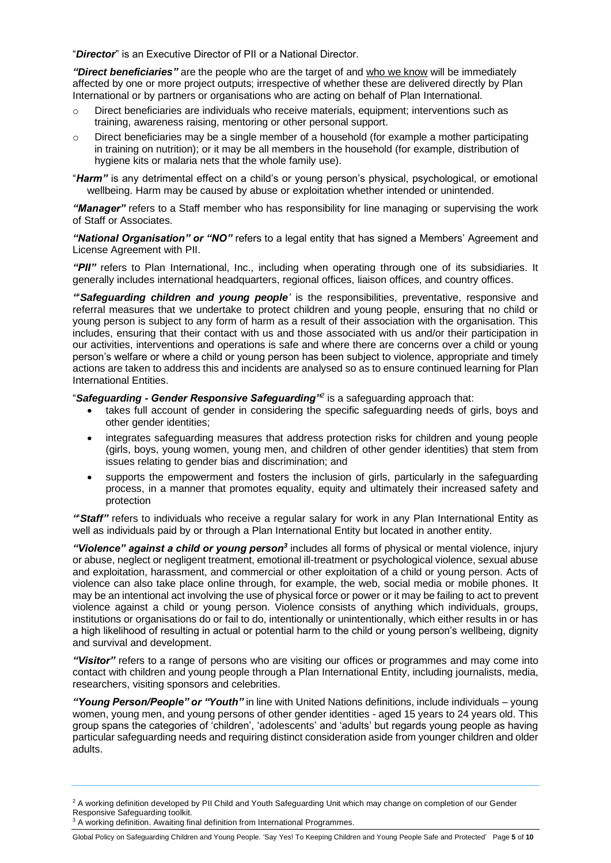"*Director*" is an Executive Director of PII or a National Director.

*"Direct beneficiaries"* are the people who are the target of and who we know will be immediately affected by one or more project outputs; irrespective of whether these are delivered directly by Plan International or by partners or organisations who are acting on behalf of Plan International.

- $\circ$  Direct beneficiaries are individuals who receive materials, equipment; interventions such as training, awareness raising, mentoring or other personal support.
- $\circ$  Direct beneficiaries may be a single member of a household (for example a mother participating in training on nutrition); or it may be all members in the household (for example, distribution of hygiene kits or malaria nets that the whole family use).

"*Harm"* is any detrimental effect on a child's or young person's physical, psychological, or emotional wellbeing. Harm may be caused by abuse or exploitation whether intended or unintended.

*"Manager"* refers to a Staff member who has responsibility for line managing or supervising the work of Staff or Associates.

*"National Organisation" or "NO"* refers to a legal entity that has signed a Members' Agreement and License Agreement with PII.

*"PII"* refers to Plan International, Inc., including when operating through one of its subsidiaries. It generally includes international headquarters, regional offices, liaison offices, and country offices.

*"*'*Safeguarding children and young people'* is the responsibilities, preventative, responsive and referral measures that we undertake to protect children and young people, ensuring that no child or young person is subject to any form of harm as a result of their association with the organisation. This includes, ensuring that their contact with us and those associated with us and/or their participation in our activities, interventions and operations is safe and where there are concerns over a child or young person's welfare or where a child or young person has been subject to violence, appropriate and timely actions are taken to address this and incidents are analysed so as to ensure continued learning for Plan International Entities.

"*Safeguarding - Gender Responsive Safeguarding"<sup>2</sup>* is a safeguarding approach that:

- takes full account of gender in considering the specific safeguarding needs of girls, boys and other gender identities;
- integrates safeguarding measures that address protection risks for children and young people (girls, boys, young women, young men, and children of other gender identities) that stem from issues relating to gender bias and discrimination; and
- supports the empowerment and fosters the inclusion of girls, particularly in the safeguarding process, in a manner that promotes equality, equity and ultimately their increased safety and protection

*"*'*Staff"* refers to individuals who receive a regular salary for work in any Plan International Entity as well as individuals paid by or through a Plan International Entity but located in another entity.

"Violence" against a child or young person<sup>3</sup> includes all forms of physical or mental violence, injury or abuse, neglect or negligent treatment, emotional ill-treatment or psychological violence, sexual abuse and exploitation, harassment, and commercial or other exploitation of a child or young person. Acts of violence can also take place online through, for example, the web, social media or mobile phones. It may be an intentional act involving the use of physical force or power or it may be failing to act to prevent violence against a child or young person. Violence consists of anything which individuals, groups, institutions or organisations do or fail to do, intentionally or unintentionally, which either results in or has a high likelihood of resulting in actual or potential harm to the child or young person's wellbeing, dignity and survival and development.

*"Visitor"* refers to a range of persons who are visiting our offices or programmes and may come into contact with children and young people through a Plan International Entity, including journalists, media, researchers, visiting sponsors and celebrities.

*"Young Person/People" or "Youth"* in line with United Nations definitions, include individuals – young women, young men, and young persons of other gender identities - aged 15 years to 24 years old. This group spans the categories of 'children', 'adolescents' and 'adults' but regards young people as having particular safeguarding needs and requiring distinct consideration aside from younger children and older adults.

Global Policy on Safeguarding Children and Young People. 'Say Yes! To Keeping Children and Young People Safe and Protected' Page **5** of **10**

<sup>&</sup>lt;sup>2</sup> A working definition developed by PII Child and Youth Safeguarding Unit which may change on completion of our Gender Responsive Safeguarding toolkit.

<sup>&</sup>lt;sup>3</sup> A working definition. Awaiting final definition from International Programmes.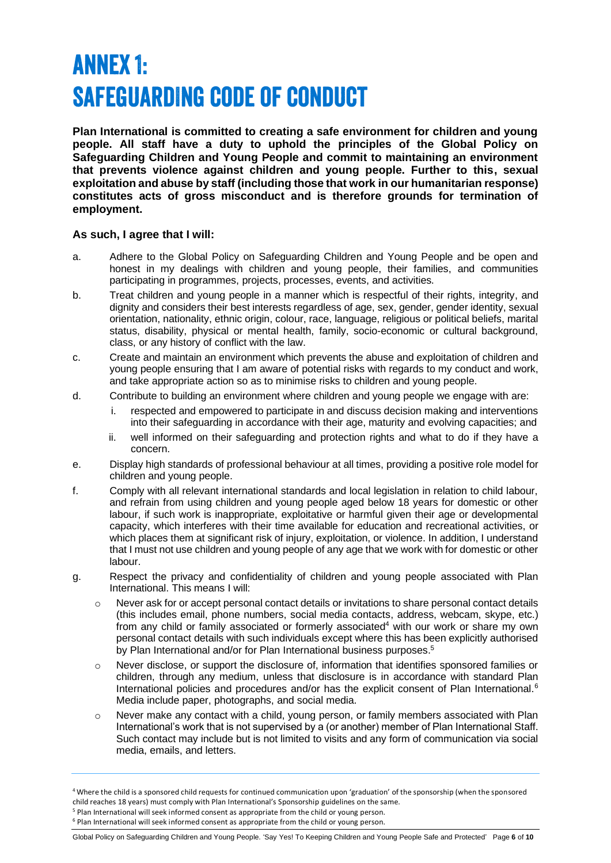### **ANNEX 1: SAFEGUARDING CODE OF CONDUCT**

**Plan International is committed to creating a safe environment for children and young people. All staff have a duty to uphold the principles of the Global Policy on Safeguarding Children and Young People and commit to maintaining an environment that prevents violence against children and young people. Further to this, sexual exploitation and abuse by staff (including those that work in our humanitarian response) constitutes acts of gross misconduct and is therefore grounds for termination of employment.** 

#### **As such, I agree that I will:**

- a. Adhere to the Global Policy on Safeguarding Children and Young People and be open and honest in my dealings with children and young people, their families, and communities participating in programmes, projects, processes, events, and activities.
- b. Treat children and young people in a manner which is respectful of their rights, integrity, and dignity and considers their best interests regardless of age, sex, gender, gender identity, sexual orientation, nationality, ethnic origin, colour, race, language, religious or political beliefs, marital status, disability, physical or mental health, family, socio-economic or cultural background, class, or any history of conflict with the law.
- c. Create and maintain an environment which prevents the abuse and exploitation of children and young people ensuring that I am aware of potential risks with regards to my conduct and work, and take appropriate action so as to minimise risks to children and young people.
- d. Contribute to building an environment where children and young people we engage with are:
	- i. respected and empowered to participate in and discuss decision making and interventions into their safeguarding in accordance with their age, maturity and evolving capacities; and
	- ii. well informed on their safeguarding and protection rights and what to do if they have a concern.
- e. Display high standards of professional behaviour at all times, providing a positive role model for children and young people.
- f. Comply with all relevant international standards and local legislation in relation to child labour, and refrain from using children and young people aged below 18 years for domestic or other labour, if such work is inappropriate, exploitative or harmful given their age or developmental capacity, which interferes with their time available for education and recreational activities, or which places them at significant risk of injury, exploitation, or violence. In addition, I understand that I must not use children and young people of any age that we work with for domestic or other labour.
- g. Respect the privacy and confidentiality of children and young people associated with Plan International. This means I will:
	- $\circ$  Never ask for or accept personal contact details or invitations to share personal contact details (this includes email, phone numbers, social media contacts, address, webcam, skype, etc.) from any child or family associated or formerly associated<sup>4</sup> with our work or share my own personal contact details with such individuals except where this has been explicitly authorised by Plan International and/or for Plan International business purposes.<sup>5</sup>
	- o Never disclose, or support the disclosure of, information that identifies sponsored families or children, through any medium, unless that disclosure is in accordance with standard Plan International policies and procedures and/or has the explicit consent of Plan International.<sup>6</sup> Media include paper, photographs, and social media.
	- o Never make any contact with a child, young person, or family members associated with Plan International's work that is not supervised by a (or another) member of Plan International Staff. Such contact may include but is not limited to visits and any form of communication via social media, emails, and letters.

Global Policy on Safeguarding Children and Young People. 'Say Yes! To Keeping Children and Young People Safe and Protected' Page **6** of **10**

<sup>4</sup> Where the child is a sponsored child requests for continued communication upon 'graduation' of the sponsorship (when the sponsored child reaches 18 years) must comply with Plan International's Sponsorship guidelines on the same.

<sup>5</sup> Plan International will seek informed consent as appropriate from the child or young person.

<sup>6</sup> Plan International will seek informed consent as appropriate from the child or young person.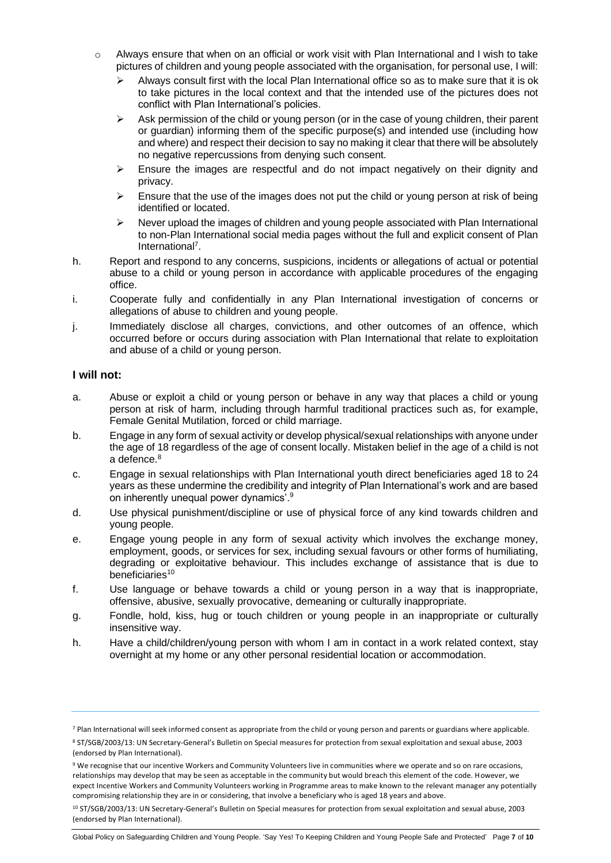- o Always ensure that when on an official or work visit with Plan International and I wish to take pictures of children and young people associated with the organisation, for personal use, I will:
	- ➢ Always consult first with the local Plan International office so as to make sure that it is ok to take pictures in the local context and that the intended use of the pictures does not conflict with Plan International's policies.
	- $\triangleright$  Ask permission of the child or young person (or in the case of young children, their parent or guardian) informing them of the specific purpose(s) and intended use (including how and where) and respect their decision to say no making it clear that there will be absolutely no negative repercussions from denying such consent.
	- ➢ Ensure the images are respectful and do not impact negatively on their dignity and privacy.
	- ➢ Ensure that the use of the images does not put the child or young person at risk of being identified or located.
	- ➢ Never upload the images of children and young people associated with Plan International to non-Plan International social media pages without the full and explicit consent of Plan International<sup>7</sup>.
- h. Report and respond to any concerns, suspicions, incidents or allegations of actual or potential abuse to a child or young person in accordance with applicable procedures of the engaging office.
- i. Cooperate fully and confidentially in any Plan International investigation of concerns or allegations of abuse to children and young people.
- j. Immediately disclose all charges, convictions, and other outcomes of an offence, which occurred before or occurs during association with Plan International that relate to exploitation and abuse of a child or young person.

#### **I will not:**

- a. Abuse or exploit a child or young person or behave in any way that places a child or young person at risk of harm, including through harmful traditional practices such as, for example, Female Genital Mutilation, forced or child marriage.
- b. Engage in any form of sexual activity or develop physical/sexual relationships with anyone under the age of 18 regardless of the age of consent locally. Mistaken belief in the age of a child is not a defence.<sup>8</sup>
- c. Engage in sexual relationships with Plan International youth direct beneficiaries aged 18 to 24 years as these undermine the credibility and integrity of Plan International's work and are based on inherently unequal power dynamics'.<sup>9</sup>
- d. Use physical punishment/discipline or use of physical force of any kind towards children and young people.
- e. Engage young people in any form of sexual activity which involves the exchange money, employment, goods, or services for sex, including sexual favours or other forms of humiliating, degrading or exploitative behaviour. This includes exchange of assistance that is due to beneficiaries<sup>10</sup>
- f. Use language or behave towards a child or young person in a way that is inappropriate, offensive, abusive, sexually provocative, demeaning or culturally inappropriate.
- g. Fondle, hold, kiss, hug or touch children or young people in an inappropriate or culturally insensitive way.
- h. Have a child/children/young person with whom I am in contact in a work related context, stay overnight at my home or any other personal residential location or accommodation.

<sup>&</sup>lt;sup>7</sup> Plan International will seek informed consent as appropriate from the child or young person and parents or guardians where applicable.

<sup>8</sup> ST/SGB/2003/13: UN Secretary-General's Bulletin on Special measures for protection from sexual exploitation and sexual abuse, 2003 (endorsed by Plan International).

<sup>9</sup> We recognise that our incentive Workers and Community Volunteers live in communities where we operate and so on rare occasions, relationships may develop that may be seen as acceptable in the community but would breach this element of the code. However, we expect Incentive Workers and Community Volunteers working in Programme areas to make known to the relevant manager any potentially compromising relationship they are in or considering, that involve a beneficiary who is aged 18 years and above.

<sup>10</sup> ST/SGB/2003/13: UN Secretary-General's Bulletin on Special measures for protection from sexual exploitation and sexual abuse, 2003 (endorsed by Plan International).

Global Policy on Safeguarding Children and Young People. 'Say Yes! To Keeping Children and Young People Safe and Protected' Page **7** of **10**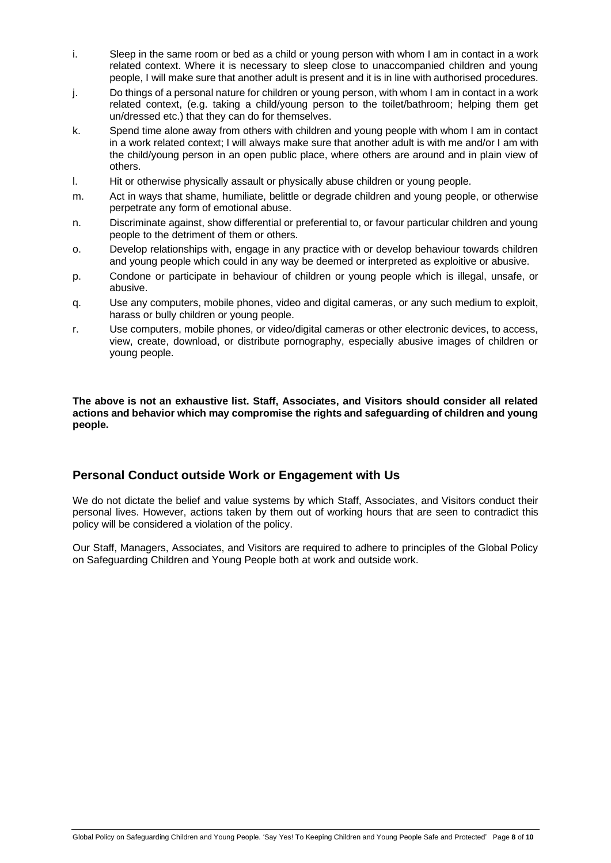- i. Sleep in the same room or bed as a child or young person with whom I am in contact in a work related context. Where it is necessary to sleep close to unaccompanied children and young people, I will make sure that another adult is present and it is in line with authorised procedures.
- j. Do things of a personal nature for children or young person, with whom I am in contact in a work related context, (e.g. taking a child/young person to the toilet/bathroom; helping them get un/dressed etc.) that they can do for themselves.
- k. Spend time alone away from others with children and young people with whom I am in contact in a work related context; I will always make sure that another adult is with me and/or I am with the child/young person in an open public place, where others are around and in plain view of others.
- l. Hit or otherwise physically assault or physically abuse children or young people.
- m. Act in ways that shame, humiliate, belittle or degrade children and young people, or otherwise perpetrate any form of emotional abuse.
- n. Discriminate against, show differential or preferential to, or favour particular children and young people to the detriment of them or others.
- o. Develop relationships with, engage in any practice with or develop behaviour towards children and young people which could in any way be deemed or interpreted as exploitive or abusive.
- p. Condone or participate in behaviour of children or young people which is illegal, unsafe, or abusive.
- q. Use any computers, mobile phones, video and digital cameras, or any such medium to exploit, harass or bully children or young people.
- r. Use computers, mobile phones, or video/digital cameras or other electronic devices, to access, view, create, download, or distribute pornography, especially abusive images of children or young people.

**The above is not an exhaustive list. Staff, Associates, and Visitors should consider all related actions and behavior which may compromise the rights and safeguarding of children and young people.**

#### **Personal Conduct outside Work or Engagement with Us**

We do not dictate the belief and value systems by which Staff, Associates, and Visitors conduct their personal lives. However, actions taken by them out of working hours that are seen to contradict this policy will be considered a violation of the policy.

Our Staff, Managers, Associates, and Visitors are required to adhere to principles of the Global Policy on Safeguarding Children and Young People both at work and outside work.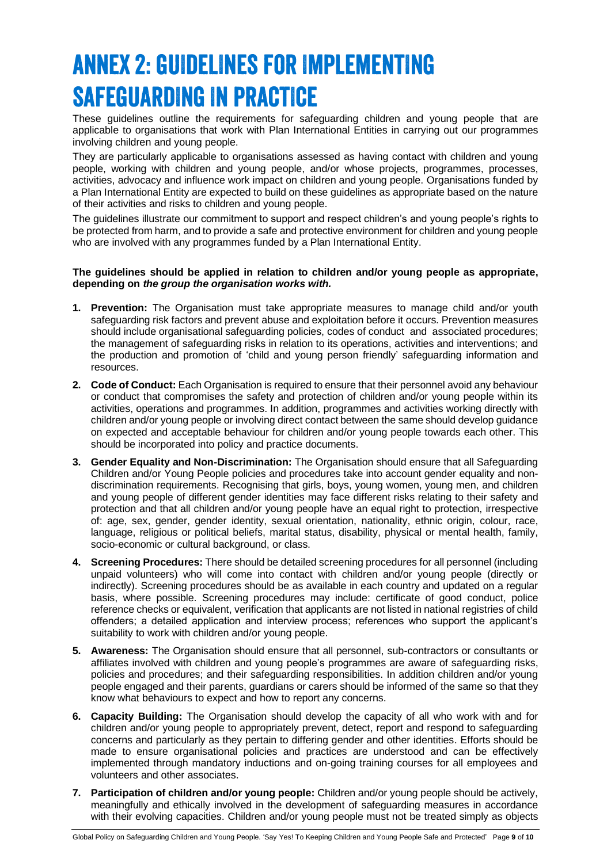### **ANNEX 2: GUIDELINES FOR IMPLEMENTING SAFEGUARDING IN PRACTICE**

These guidelines outline the requirements for safeguarding children and young people that are applicable to organisations that work with Plan International Entities in carrying out our programmes involving children and young people.

They are particularly applicable to organisations assessed as having contact with children and young people, working with children and young people, and/or whose projects, programmes, processes, activities, advocacy and influence work impact on children and young people. Organisations funded by a Plan International Entity are expected to build on these guidelines as appropriate based on the nature of their activities and risks to children and young people.

The guidelines illustrate our commitment to support and respect children's and young people's rights to be protected from harm, and to provide a safe and protective environment for children and young people who are involved with any programmes funded by a Plan International Entity.

#### **The guidelines should be applied in relation to children and/or young people as appropriate, depending on** *the group the organisation works with.*

- **1. Prevention:** The Organisation must take appropriate measures to manage child and/or youth safeguarding risk factors and prevent abuse and exploitation before it occurs. Prevention measures should include organisational safeguarding policies, codes of conduct and associated procedures; the management of safeguarding risks in relation to its operations, activities and interventions; and the production and promotion of 'child and young person friendly' safeguarding information and resources.
- **2. Code of Conduct:** Each Organisation is required to ensure that their personnel avoid any behaviour or conduct that compromises the safety and protection of children and/or young people within its activities, operations and programmes. In addition, programmes and activities working directly with children and/or young people or involving direct contact between the same should develop guidance on expected and acceptable behaviour for children and/or young people towards each other. This should be incorporated into policy and practice documents.
- **3. Gender Equality and Non-Discrimination:** The Organisation should ensure that all Safeguarding Children and/or Young People policies and procedures take into account gender equality and nondiscrimination requirements. Recognising that girls, boys, young women, young men, and children and young people of different gender identities may face different risks relating to their safety and protection and that all children and/or young people have an equal right to protection, irrespective of: age, sex, gender, gender identity, sexual orientation, nationality, ethnic origin, colour, race, language, religious or political beliefs, marital status, disability, physical or mental health, family, socio-economic or cultural background, or class.
- **4. Screening Procedures:** There should be detailed screening procedures for all personnel (including unpaid volunteers) who will come into contact with children and/or young people (directly or indirectly). Screening procedures should be as available in each country and updated on a regular basis, where possible. Screening procedures may include: certificate of good conduct, police reference checks or equivalent, verification that applicants are not listed in national registries of child offenders; a detailed application and interview process; references who support the applicant's suitability to work with children and/or young people.
- **5. Awareness:** The Organisation should ensure that all personnel, sub-contractors or consultants or affiliates involved with children and young people's programmes are aware of safeguarding risks, policies and procedures; and their safeguarding responsibilities. In addition children and/or young people engaged and their parents, guardians or carers should be informed of the same so that they know what behaviours to expect and how to report any concerns.
- **6. Capacity Building:** The Organisation should develop the capacity of all who work with and for children and/or young people to appropriately prevent, detect, report and respond to safeguarding concerns and particularly as they pertain to differing gender and other identities. Efforts should be made to ensure organisational policies and practices are understood and can be effectively implemented through mandatory inductions and on-going training courses for all employees and volunteers and other associates.
- **7. Participation of children and/or young people:** Children and/or young people should be actively, meaningfully and ethically involved in the development of safeguarding measures in accordance with their evolving capacities. Children and/or young people must not be treated simply as objects